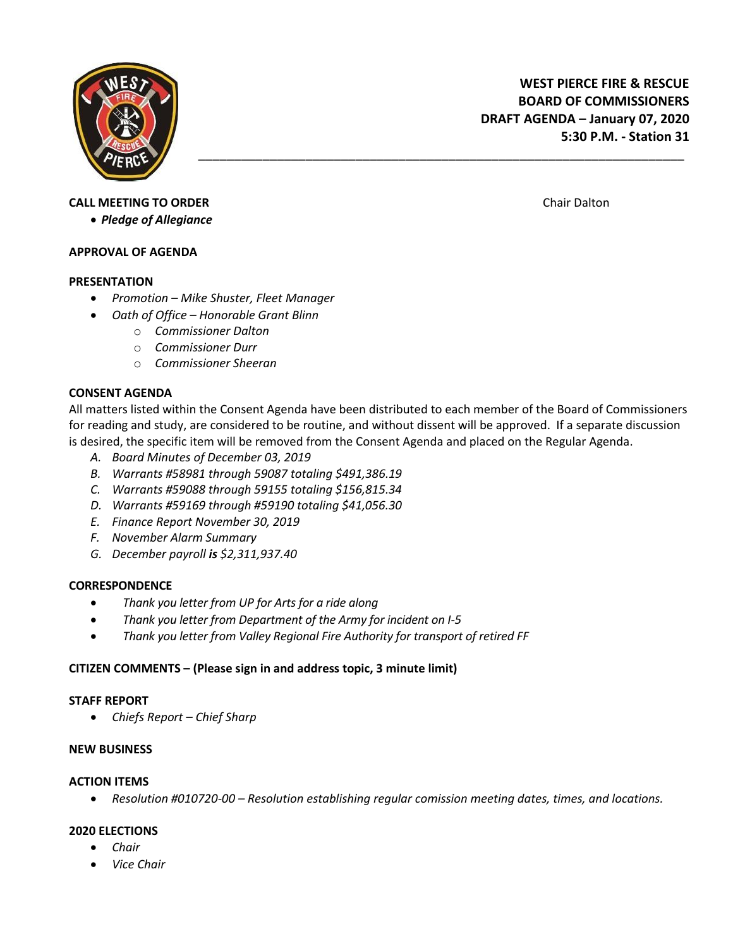

# **WEST PIERCE FIRE & RESCUE BOARD OF COMMISSIONERS DRAFT AGENDA – January 07, 2020 5:30 P.M. - Station 31**

# **CALL MEETING TO ORDER CALL MEETING TO ORDER Chair Dalton Chair Dalton Chair Dalton**

*Pledge of Allegiance*

## **APPROVAL OF AGENDA**

## **PRESENTATION**

- *Promotion – Mike Shuster, Fleet Manager*
- *Oath of Office – Honorable Grant Blinn*
	- o *Commissioner Dalton*
	- o *Commissioner Durr*
	- o *Commissioner Sheeran*

# **CONSENT AGENDA**

All matters listed within the Consent Agenda have been distributed to each member of the Board of Commissioners for reading and study, are considered to be routine, and without dissent will be approved. If a separate discussion is desired, the specific item will be removed from the Consent Agenda and placed on the Regular Agenda.

\_\_\_\_\_\_\_\_\_\_\_\_\_\_\_\_\_\_\_\_\_\_\_\_\_\_\_\_\_\_\_\_\_\_\_\_\_\_\_\_\_\_\_\_\_\_\_\_\_\_\_\_\_\_\_\_\_\_\_\_\_\_\_\_\_\_\_\_

- *A. Board Minutes of December 03, 2019*
- *B. Warrants #58981 through 59087 totaling \$491,386.19*
- *C. Warrants #59088 through 59155 totaling \$156,815.34*
- *D. Warrants #59169 through #59190 totaling \$41,056.30*
- *E. Finance Report November 30, 2019*
- *F. November Alarm Summary*
- *G. December payroll is \$2,311,937.40*

# **CORRESPONDENCE**

- *Thank you letter from UP for Arts for a ride along*
- *Thank you letter from Department of the Army for incident on I-5*
- *Thank you letter from Valley Regional Fire Authority for transport of retired FF*

# **CITIZEN COMMENTS – (Please sign in and address topic, 3 minute limit)**

#### **STAFF REPORT**

*Chiefs Report – Chief Sharp*

#### **NEW BUSINESS**

#### **ACTION ITEMS**

*Resolution #010720-00 – Resolution establishing regular comission meeting dates, times, and locations.*

# **2020 ELECTIONS**

- *Chair*
- *Vice Chair*